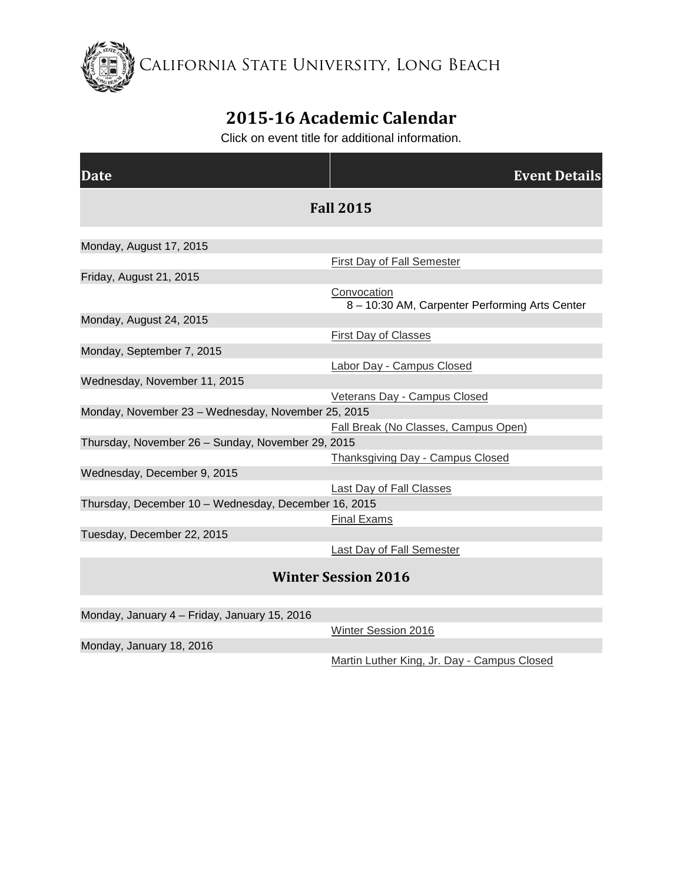California State University, Long Beach

## **2015-16 Academic Calendar**

Click on event title for additional information.

| Date                                                 | <b>Event Details</b>                                          |
|------------------------------------------------------|---------------------------------------------------------------|
| <b>Fall 2015</b>                                     |                                                               |
| Monday, August 17, 2015                              |                                                               |
|                                                      | First Day of Fall Semester                                    |
| Friday, August 21, 2015                              |                                                               |
|                                                      | Convocation<br>8 - 10:30 AM, Carpenter Performing Arts Center |
| Monday, August 24, 2015                              |                                                               |
|                                                      | <b>First Day of Classes</b>                                   |
| Monday, September 7, 2015                            |                                                               |
|                                                      | Labor Day - Campus Closed                                     |
| Wednesday, November 11, 2015                         |                                                               |
|                                                      | Veterans Day - Campus Closed                                  |
| Monday, November 23 - Wednesday, November 25, 2015   |                                                               |
|                                                      | Fall Break (No Classes, Campus Open)                          |
| Thursday, November 26 - Sunday, November 29, 2015    |                                                               |
|                                                      | <b>Thanksgiving Day - Campus Closed</b>                       |
| Wednesday, December 9, 2015                          |                                                               |
|                                                      | <b>Last Day of Fall Classes</b>                               |
| Thursday, December 10 - Wednesday, December 16, 2015 |                                                               |
|                                                      | <b>Final Exams</b>                                            |
| Tuesday, December 22, 2015                           |                                                               |
|                                                      | <b>Last Day of Fall Semester</b>                              |
| <b>Winter Session 2016</b>                           |                                                               |

Monday, January 4 – Friday, January 15, 2016

[Winter Session 2016](http://calendar.aa.csulb.edu/EventList.aspx?fromdate=8/10/2015&todate=9/5/2016&display=Month&type=public&eventidn=1345&view=EventDetails&information_id=2740)

Monday, January 18, 2016

[Martin Luther King, Jr. Day -](http://calendar.aa.csulb.edu/EventList.aspx?fromdate=8/10/2015&todate=9/5/2016&display=Month&type=public&eventidn=1347&view=EventDetails&information_id=2744) Campus Closed